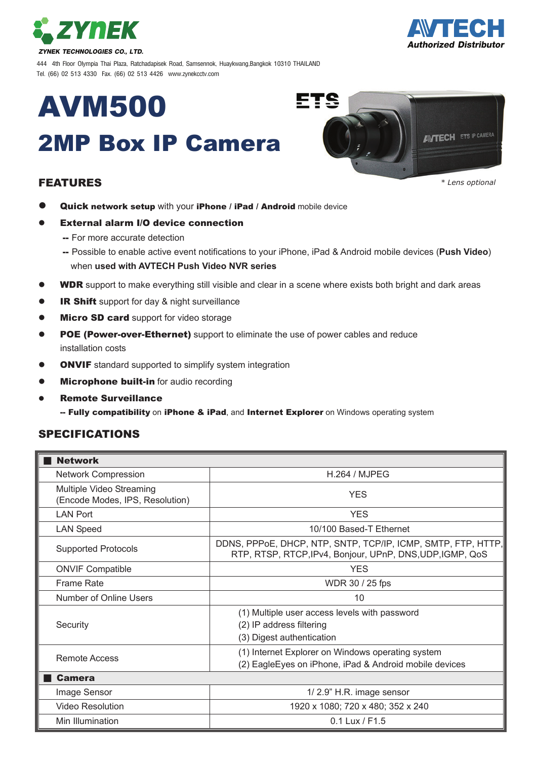



444 4th Floor Olympia Thai Plaza, Ratchadapisek Road, Samsennok, Huaykwang,Bangkok 10310 THAILAND Tel. (66) 02 513 4330 Fax. (66) 02 513 4426 www.zynekcctv.com

# AVM500

# 2MP Box IP Camera

### FEATURES



*\* Lens optional*

- Quick network setup with your iPhone / iPad / Android mobile device
- External alarm I/O device connection
	- -- For more accurate detection
	- -- Possible to enable active event notifications to your iPhone, iPad & Android mobile devices (**Push Video**) when **used with AVTECH Push Video NVR series**
- WDR support to make everything still visible and clear in a scene where exists both bright and dark areas
- IR Shift support for day & night surveillance
- **Micro SD card** support for video storage
- **POE (Power-over-Ethernet)** support to eliminate the use of power cables and reduce installation costs
- ONVIF standard supported to simplify system integration
- **Microphone built-in** for audio recording
- Remote Surveillance

-- Fully compatibility on iPhone & iPad, and Internet Explorer on Windows operating system

#### SPECIFICATIONS

| <b>Network</b>                                              |                                                                                                                           |
|-------------------------------------------------------------|---------------------------------------------------------------------------------------------------------------------------|
| <b>Network Compression</b>                                  | H.264 / MJPEG                                                                                                             |
| Multiple Video Streaming<br>(Encode Modes, IPS, Resolution) | <b>YES</b>                                                                                                                |
| <b>LAN Port</b>                                             | <b>YES</b>                                                                                                                |
| <b>LAN Speed</b>                                            | 10/100 Based-T Ethernet                                                                                                   |
| <b>Supported Protocols</b>                                  | DDNS, PPPoE, DHCP, NTP, SNTP, TCP/IP, ICMP, SMTP, FTP, HTTP,<br>RTP, RTSP, RTCP, IPv4, Bonjour, UPnP, DNS, UDP, IGMP, QoS |
| <b>ONVIF Compatible</b>                                     | <b>YES</b>                                                                                                                |
| <b>Frame Rate</b>                                           | WDR 30 / 25 fps                                                                                                           |
| Number of Online Users                                      | 10                                                                                                                        |
| Security                                                    | (1) Multiple user access levels with password<br>(2) IP address filtering<br>(3) Digest authentication                    |
| <b>Remote Access</b>                                        | (1) Internet Explorer on Windows operating system<br>(2) EagleEyes on iPhone, iPad & Android mobile devices               |
| <b>Camera</b>                                               |                                                                                                                           |
| Image Sensor                                                | 1/2.9" H.R. image sensor                                                                                                  |
| Video Resolution                                            | 1920 x 1080; 720 x 480; 352 x 240                                                                                         |
| Min Illumination                                            | 0.1 Lux / F1.5                                                                                                            |